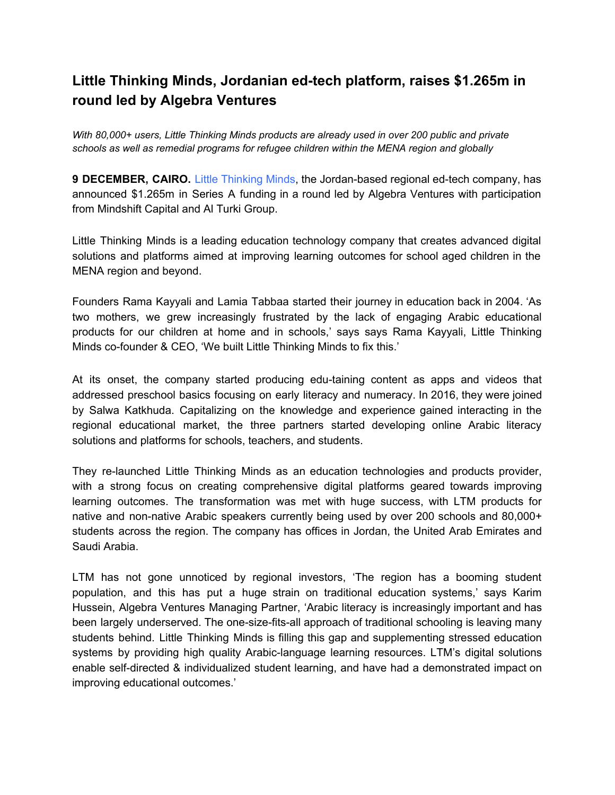## **Little Thinking Minds, Jordanian ed-tech platform, raises \$1.265m in round led by Algebra Ventures**

*With 80,000+ users, Little Thinking Minds products are already used in over 200 public and private schools as well as remedial programs for refugee children within the MENA region and globally*

**9 DECEMBER, CAIRO.** Little Thinking Minds, the Jordan-based regional ed-tech company, has announced \$1.265m in Series A funding in a round led by Algebra Ventures with participation from Mindshift Capital and Al Turki Group.

Little Thinking Minds is a leading education technology company that creates advanced digital solutions and platforms aimed at improving learning outcomes for school aged children in the MENA region and beyond.

Founders Rama Kayyali and Lamia Tabbaa started their journey in education back in 2004. 'As two mothers, we grew increasingly frustrated by the lack of engaging Arabic educational products for our children at home and in schools,' says says Rama Kayyali, Little Thinking Minds co-founder & CEO, 'We built Little Thinking Minds to fix this.'

At its onset, the company started producing edu-taining content as apps and videos that addressed preschool basics focusing on early literacy and numeracy. In 2016, they were joined by Salwa Katkhuda. Capitalizing on the knowledge and experience gained interacting in the regional educational market, the three partners started developing online Arabic literacy solutions and platforms for schools, teachers, and students.

They re-launched Little Thinking Minds as an education technologies and products provider, with a strong focus on creating comprehensive digital platforms geared towards improving learning outcomes. The transformation was met with huge success, with LTM products for native and non-native Arabic speakers currently being used by over 200 schools and 80,000+ students across the region. The company has offices in Jordan, the United Arab Emirates and Saudi Arabia.

LTM has not gone unnoticed by regional investors, 'The region has a booming student population, and this has put a huge strain on traditional education systems,' says Karim Hussein, Algebra Ventures Managing Partner, 'Arabic literacy is increasingly important and has been largely underserved. The one-size-fits-all approach of traditional schooling is leaving many students behind. Little Thinking Minds is filling this gap and supplementing stressed education systems by providing high quality Arabic-language learning resources. LTM's digital solutions enable self-directed & individualized student learning, and have had a demonstrated impact on improving educational outcomes.'